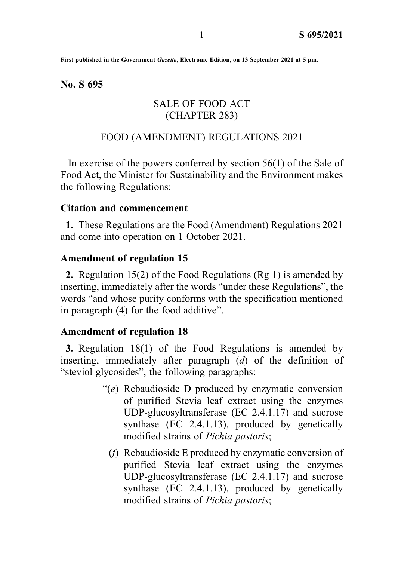First published in the Government Gazette, Electronic Edition, on 13 September 2021 at 5 pm.

No. S 695

# SALE OF FOOD ACT (CHAPTER 283)

# FOOD (AMENDMENT) REGULATIONS 2021

In exercise of the powers conferred by section 56(1) of the Sale of Food Act, the Minister for Sustainability and the Environment makes the following Regulations:

# Citation and commencement

1. These Regulations are the Food (Amendment) Regulations 2021 and come into operation on 1 October 2021.

# Amendment of regulation 15

2. Regulation 15(2) of the Food Regulations (Rg 1) is amended by inserting, immediately after the words "under these Regulations", the words "and whose purity conforms with the specification mentioned in paragraph (4) for the food additive".

### Amendment of regulation 18

3. Regulation 18(1) of the Food Regulations is amended by inserting, immediately after paragraph (d) of the definition of "steviol glycosides", the following paragraphs:

- "( $e$ ) Rebaudioside D produced by enzymatic conversion of purified Stevia leaf extract using the enzymes UDP-glucosyltransferase (EC 2.4.1.17) and sucrose synthase (EC 2.4.1.13), produced by genetically modified strains of Pichia pastoris;
	- (f) Rebaudioside E produced by enzymatic conversion of purified Stevia leaf extract using the enzymes UDP-glucosyltransferase (EC 2.4.1.17) and sucrose synthase (EC 2.4.1.13), produced by genetically modified strains of Pichia pastoris;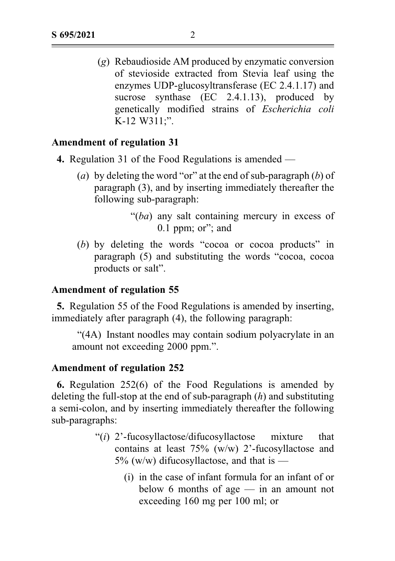(g) Rebaudioside AM produced by enzymatic conversion of stevioside extracted from Stevia leaf using the enzymes UDP-glucosyltransferase (EC 2.4.1.17) and sucrose synthase (EC 2.4.1.13), produced by genetically modified strains of Escherichia coli K-12 W311;".

### Amendment of regulation 31

- 4. Regulation 31 of the Food Regulations is amended
	- (a) by deleting the word "or" at the end of sub-paragraph  $(b)$  of paragraph (3), and by inserting immediately thereafter the following sub-paragraph:

"(ba) any salt containing mercury in excess of 0.1 ppm; or"; and

(b) by deleting the words "cocoa or cocoa products" in paragraph (5) and substituting the words "cocoa, cocoa products or salt".

# Amendment of regulation 55

5. Regulation 55 of the Food Regulations is amended by inserting, immediately after paragraph (4), the following paragraph:

"(4A) Instant noodles may contain sodium polyacrylate in an amount not exceeding 2000 ppm.".

#### Amendment of regulation 252

6. Regulation 252(6) of the Food Regulations is amended by deleting the full-stop at the end of sub-paragraph  $(h)$  and substituting a semi-colon, and by inserting immediately thereafter the following sub-paragraphs:

- " $(i)$  2'-fucosyllactose/difucosyllactose mixture that contains at least 75% (w/w) 2'-fucosyllactose and  $5\%$  (w/w) difucosyllactose, and that is —
	- (i) in the case of infant formula for an infant of or below 6 months of age — in an amount not exceeding 160 mg per 100 ml; or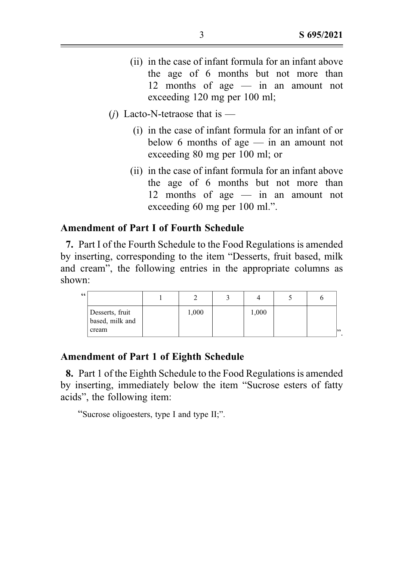- (ii) in the case of infant formula for an infant above the age of 6 months but not more than 12 months of age — in an amount not exceeding 120 mg per 100 ml;
- (*i*) Lacto-N-tetraose that is
	- (i) in the case of infant formula for an infant of or below 6 months of age — in an amount not exceeding 80 mg per 100 ml; or
	- (ii) in the case of infant formula for an infant above the age of 6 months but not more than 12 months of age — in an amount not exceeding 60 mg per 100 ml.".

# Amendment of Part I of Fourth Schedule

7. Part I of the Fourth Schedule to the Food Regulations is amended by inserting, corresponding to the item "Desserts, fruit based, milk and cream", the following entries in the appropriate columns as shown:

| 66    |                                    |       |       |    |
|-------|------------------------------------|-------|-------|----|
| cream | Desserts, fruit<br>based, milk and | 1,000 | 1,000 | 52 |

#### Amendment of Part 1 of Eighth Schedule

8. Part 1 of the Eighth Schedule to the Food Regulations is amended by inserting, immediately below the item "Sucrose esters of fatty acids", the following item:

"Sucrose oligoesters, type I and type II;".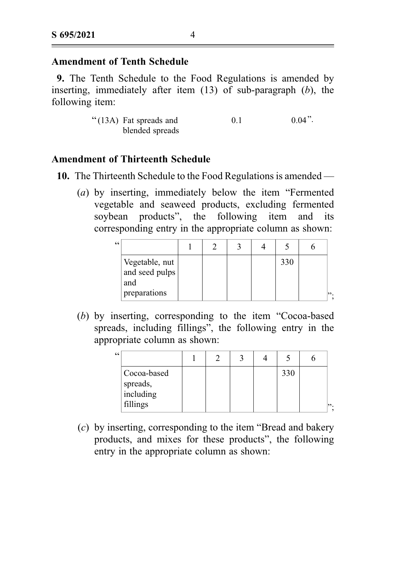# Amendment of Tenth Schedule

9. The Tenth Schedule to the Food Regulations is amended by inserting, immediately after item  $(13)$  of sub-paragraph  $(b)$ , the following item:

| $\cdot$ (13A) Fat spreads and | 0.1 | $0.04$ ". |
|-------------------------------|-----|-----------|
| blended spreads               |     |           |

### Amendment of Thirteenth Schedule

10. The Thirteenth Schedule to the Food Regulations is amended —

(a) by inserting, immediately below the item "Fermented vegetable and seaweed products, excluding fermented soybean products", the following item and its corresponding entry in the appropriate column as shown:

| 66 |                                         |  |  |     |    |
|----|-----------------------------------------|--|--|-----|----|
|    | Vegetable, nut<br>and seed pulps<br>and |  |  | 330 |    |
|    | preparations                            |  |  |     | ". |

(b) by inserting, corresponding to the item "Cocoa-based spreads, including fillings", the following entry in the appropriate column as shown:

| 66 |                                                  |  |  |     |    |
|----|--------------------------------------------------|--|--|-----|----|
|    | Cocoa-based<br>spreads,<br>including<br>fillings |  |  | 330 | ". |

(c) by inserting, corresponding to the item "Bread and bakery products, and mixes for these products", the following entry in the appropriate column as shown: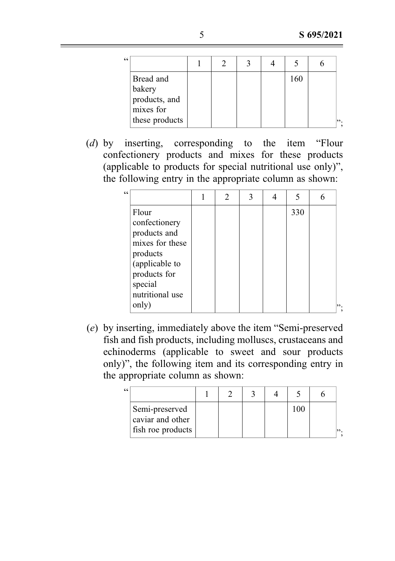| " |                                                                     |  |  |     |    |
|---|---------------------------------------------------------------------|--|--|-----|----|
|   | Bread and<br>bakery<br>products, and<br>mixes for<br>these products |  |  | 160 | ". |

(d) by inserting, corresponding to the item "Flour confectionery products and mixes for these products (applicable to products for special nutritional use only)", the following entry in the appropriate column as shown:

| $\epsilon$ |                 | 2 | 3 |     |  |
|------------|-----------------|---|---|-----|--|
|            | Flour           |   |   | 330 |  |
|            | confectionery   |   |   |     |  |
|            | products and    |   |   |     |  |
|            | mixes for these |   |   |     |  |
|            | products        |   |   |     |  |
|            | (applicable to  |   |   |     |  |
|            | products for    |   |   |     |  |
|            | special         |   |   |     |  |
|            | nutritional use |   |   |     |  |
|            | only)           |   |   |     |  |

(e) by inserting, immediately above the item "Semi-preserved fish and fish products, including molluscs, crustaceans and echinoderms (applicable to sweet and sour products only)", the following item and its corresponding entry in the appropriate column as shown:

| " |                                                         |  |  |          |      |
|---|---------------------------------------------------------|--|--|----------|------|
|   | Semi-preserved<br>caviar and other<br>fish roe products |  |  | $\alpha$ | 199. |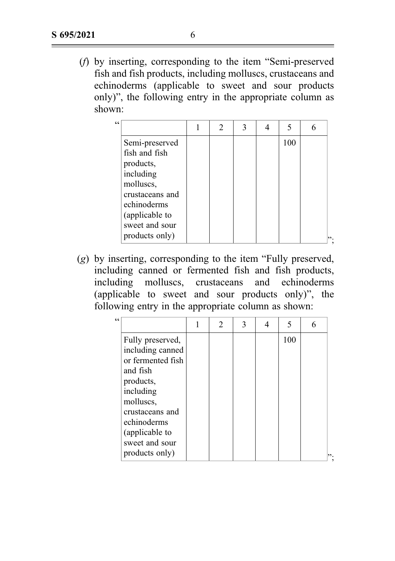(f) by inserting, corresponding to the item "Semi-preserved fish and fish products, including molluscs, crustaceans and echinoderms (applicable to sweet and sour products only)", the following entry in the appropriate column as shown:

| 66 |                                  | 2 | 3 | 5   | 6 |
|----|----------------------------------|---|---|-----|---|
|    | Semi-preserved                   |   |   | 100 |   |
|    | fish and fish<br>products,       |   |   |     |   |
|    | including                        |   |   |     |   |
|    | molluscs,<br>crustaceans and     |   |   |     |   |
|    | echinoderms                      |   |   |     |   |
|    | (applicable to<br>sweet and sour |   |   |     |   |
|    | products only)                   |   |   |     |   |

(g) by inserting, corresponding to the item "Fully preserved, including canned or fermented fish and fish products, including molluscs, crustaceans and echinoderms (applicable to sweet and sour products only)", the following entry in the appropriate column as shown:

|                   |                                    | 2 | 3 | 4 | 5   | 6  |
|-------------------|------------------------------------|---|---|---|-----|----|
| Fully preserved,  |                                    |   |   |   | 100 |    |
|                   |                                    |   |   |   |     |    |
| or fermented fish |                                    |   |   |   |     |    |
| and fish          |                                    |   |   |   |     |    |
| products,         |                                    |   |   |   |     |    |
| including         |                                    |   |   |   |     |    |
| molluscs,         |                                    |   |   |   |     |    |
| crustaceans and   |                                    |   |   |   |     |    |
| echinoderms       |                                    |   |   |   |     |    |
|                   |                                    |   |   |   |     |    |
| sweet and sour    |                                    |   |   |   |     |    |
| products only)    |                                    |   |   |   |     | ". |
|                   | including canned<br>(applicable to |   |   |   |     |    |